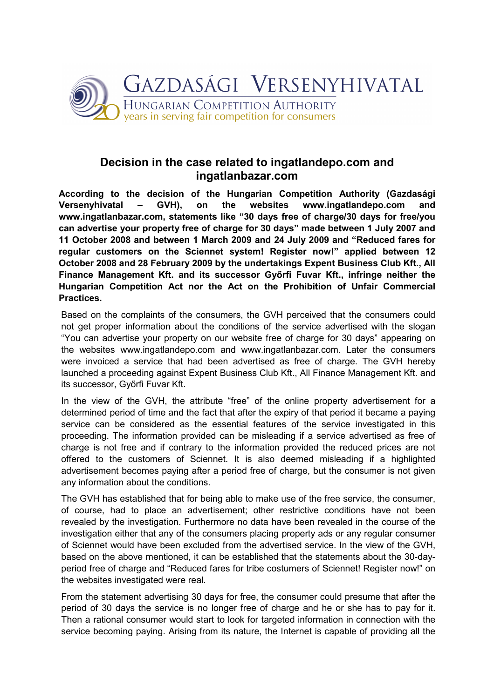

## Decision in the case related to ingatlandepo.com and ingatlanbazar.com

According to the decision of the Hungarian Competition Authority (Gazdasági Versenyhivatal – GVH), on the websites www.ingatlandepo.com and www.ingatlanbazar.com, statements like "30 days free of charge/30 days for free/you can advertise your property free of charge for 30 days" made between 1 July 2007 and 11 October 2008 and between 1 March 2009 and 24 July 2009 and "Reduced fares for regular customers on the Sciennet system! Register now!" applied between 12 October 2008 and 28 February 2009 by the undertakings Expent Business Club Kft., All Finance Management Kft. and its successor Győrfi Fuvar Kft., infringe neither the Hungarian Competition Act nor the Act on the Prohibition of Unfair Commercial Practices.

Based on the complaints of the consumers, the GVH perceived that the consumers could not get proper information about the conditions of the service advertised with the slogan "You can advertise your property on our website free of charge for 30 days" appearing on the websites www.ingatlandepo.com and www.ingatlanbazar.com. Later the consumers were invoiced a service that had been advertised as free of charge. The GVH hereby launched a proceeding against Expent Business Club Kft., All Finance Management Kft. and its successor, Győrfi Fuvar Kft.

In the view of the GVH, the attribute "free" of the online property advertisement for a determined period of time and the fact that after the expiry of that period it became a paying service can be considered as the essential features of the service investigated in this proceeding. The information provided can be misleading if a service advertised as free of charge is not free and if contrary to the information provided the reduced prices are not offered to the customers of Sciennet. It is also deemed misleading if a highlighted advertisement becomes paying after a period free of charge, but the consumer is not given any information about the conditions.

The GVH has established that for being able to make use of the free service, the consumer, of course, had to place an advertisement; other restrictive conditions have not been revealed by the investigation. Furthermore no data have been revealed in the course of the investigation either that any of the consumers placing property ads or any regular consumer of Sciennet would have been excluded from the advertised service. In the view of the GVH, based on the above mentioned, it can be established that the statements about the 30-dayperiod free of charge and "Reduced fares for tribe costumers of Sciennet! Register now!" on the websites investigated were real.

From the statement advertising 30 days for free, the consumer could presume that after the period of 30 days the service is no longer free of charge and he or she has to pay for it. Then a rational consumer would start to look for targeted information in connection with the service becoming paying. Arising from its nature, the Internet is capable of providing all the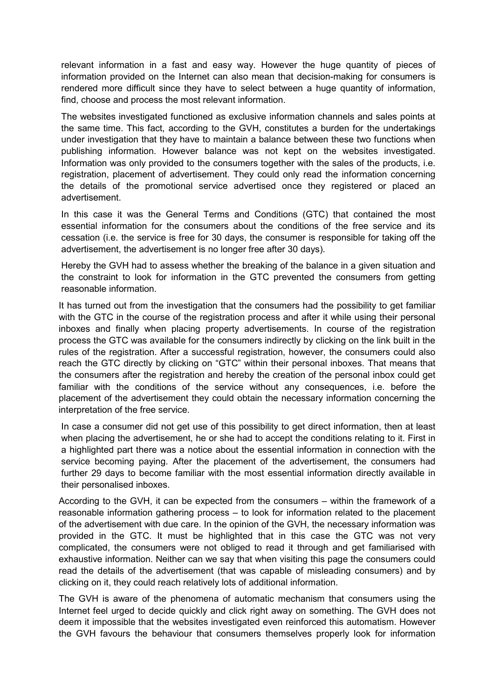relevant information in a fast and easy way. However the huge quantity of pieces of information provided on the Internet can also mean that decision-making for consumers is rendered more difficult since they have to select between a huge quantity of information, find, choose and process the most relevant information.

The websites investigated functioned as exclusive information channels and sales points at the same time. This fact, according to the GVH, constitutes a burden for the undertakings under investigation that they have to maintain a balance between these two functions when publishing information. However balance was not kept on the websites investigated. Information was only provided to the consumers together with the sales of the products, i.e. registration, placement of advertisement. They could only read the information concerning the details of the promotional service advertised once they registered or placed an advertisement.

In this case it was the General Terms and Conditions (GTC) that contained the most essential information for the consumers about the conditions of the free service and its cessation (i.e. the service is free for 30 days, the consumer is responsible for taking off the advertisement, the advertisement is no longer free after 30 days).

Hereby the GVH had to assess whether the breaking of the balance in a given situation and the constraint to look for information in the GTC prevented the consumers from getting reasonable information.

It has turned out from the investigation that the consumers had the possibility to get familiar with the GTC in the course of the registration process and after it while using their personal inboxes and finally when placing property advertisements. In course of the registration process the GTC was available for the consumers indirectly by clicking on the link built in the rules of the registration. After a successful registration, however, the consumers could also reach the GTC directly by clicking on "GTC" within their personal inboxes. That means that the consumers after the registration and hereby the creation of the personal inbox could get familiar with the conditions of the service without any consequences, i.e. before the placement of the advertisement they could obtain the necessary information concerning the interpretation of the free service.

In case a consumer did not get use of this possibility to get direct information, then at least when placing the advertisement, he or she had to accept the conditions relating to it. First in a highlighted part there was a notice about the essential information in connection with the service becoming paying. After the placement of the advertisement, the consumers had further 29 days to become familiar with the most essential information directly available in their personalised inboxes.

According to the GVH, it can be expected from the consumers – within the framework of a reasonable information gathering process – to look for information related to the placement of the advertisement with due care. In the opinion of the GVH, the necessary information was provided in the GTC. It must be highlighted that in this case the GTC was not very complicated, the consumers were not obliged to read it through and get familiarised with exhaustive information. Neither can we say that when visiting this page the consumers could read the details of the advertisement (that was capable of misleading consumers) and by clicking on it, they could reach relatively lots of additional information.

The GVH is aware of the phenomena of automatic mechanism that consumers using the Internet feel urged to decide quickly and click right away on something. The GVH does not deem it impossible that the websites investigated even reinforced this automatism. However the GVH favours the behaviour that consumers themselves properly look for information